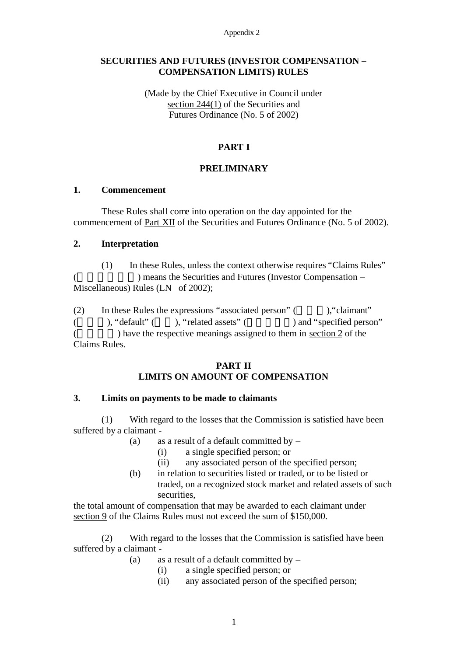#### Appendix 2

### **SECURITIES AND FUTURES (INVESTOR COMPENSATION – COMPENSATION LIMITS) RULES**

(Made by the Chief Executive in Council under section 244(1) of the Securities and Futures Ordinance (No. 5 of 2002)

# **PART I**

## **PRELIMINARY**

#### **1. Commencement**

These Rules shall come into operation on the day appointed for the commencement of Part XII of the Securities and Futures Ordinance (No. 5 of 2002).

### **2. Interpretation**

(1) In these Rules, unless the context otherwise requires "Claims Rules" ( ) means the Securities and Futures (Investor Compensation – Miscellaneous) Rules (LN of 2002);

(2) In these Rules the expressions "associated person" ( ), "claimant" (
), "default" (
), "related assets" (
) and "specified person" ( ) have the respective meanings assigned to them in section 2 of the Claims Rules.

## **PART II LIMITS ON AMOUNT OF COMPENSATION**

## **3. Limits on payments to be made to claimants**

(1) With regard to the losses that the Commission is satisfied have been suffered by a claimant -

- (a) as a result of a default committed by  $-$ 
	- (i) a single specified person; or
	- (ii) any associated person of the specified person;
- (b) in relation to securities listed or traded, or to be listed or traded, on a recognized stock market and related assets of such securities,

the total amount of compensation that may be awarded to each claimant under section 9 of the Claims Rules must not exceed the sum of \$150,000.

(2) With regard to the losses that the Commission is satisfied have been suffered by a claimant -

- (a) as a result of a default committed by  $-$ 
	- (i) a single specified person; or
	- (ii) any associated person of the specified person;